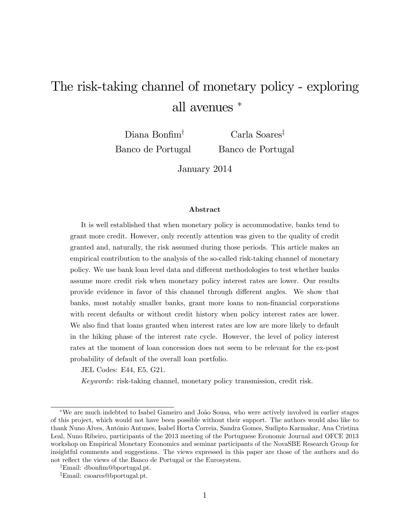# The risk-taking channel of monetary policy - exploring all avenues

Diana Bonfim<sup> $\dagger$ </sup> Banco de Portugal

 $Carla$  Soares<sup>‡</sup> Banco de Portugal

January 2014

#### Abstract

It is well established that when monetary policy is accommodative, banks tend to grant more credit. However, only recently attention was given to the quality of credit granted and, naturally, the risk assumed during those periods. This article makes an empirical contribution to the analysis of the so-called risk-taking channel of monetary policy. We use bank loan level data and different methodologies to test whether banks assume more credit risk when monetary policy interest rates are lower. Our results provide evidence in favor of this channel through different angles. We show that banks, most notably smaller banks, grant more loans to non-Önancial corporations with recent defaults or without credit history when policy interest rates are lower. We also find that loans granted when interest rates are low are more likely to default in the hiking phase of the interest rate cycle. However, the level of policy interest rates at the moment of loan concession does not seem to be relevant for the ex-post probability of default of the overall loan portfolio.

JEL Codes: E44, E5, G21.

Keywords: risk-taking channel, monetary policy transmission, credit risk.

<sup>\*</sup>We are much indebted to Isabel Gameiro and João Sousa, who were actively involved in earlier stages of this project, which would not have been possible without their support. The authors would also like to thank Nuno Alves, António Antunes, Isabel Horta Correia, Sandra Gomes, Sudipto Karmakar, Ana Cristina Leal, Nuno Ribeiro, participants of the 2013 meeting of the Portuguese Economic Journal and OFCE 2013 workshop on Empirical Monetary Economics and seminar participants of the NovaSBE Research Group for insightful comments and suggestions. The views expressed in this paper are those of the authors and do not reflect the views of the Banco de Portugal or the Eurosystem.

<sup>&</sup>lt;sup>†</sup>Email: dbonfim@bportugal.pt.

<sup>z</sup>Email: csoares@bportugal.pt.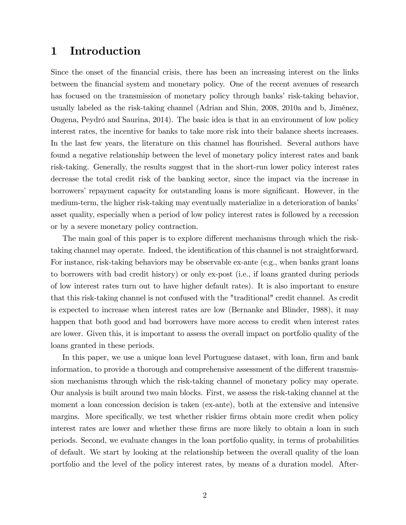### 1 Introduction

Since the onset of the financial crisis, there has been an increasing interest on the links between the Önancial system and monetary policy. One of the recent avenues of research has focused on the transmission of monetary policy through banks' risk-taking behavior, usually labeled as the risk-taking channel (Adrian and Shin, 2008, 2010a and b, JimÈnez, Ongena, Peydró and Saurina, 2014). The basic idea is that in an environment of low policy interest rates, the incentive for banks to take more risk into their balance sheets increases. In the last few years, the literature on this channel has flourished. Several authors have found a negative relationship between the level of monetary policy interest rates and bank risk-taking. Generally, the results suggest that in the short-run lower policy interest rates decrease the total credit risk of the banking sector, since the impact via the increase in borrowers' repayment capacity for outstanding loans is more significant. However, in the medium-term, the higher risk-taking may eventually materialize in a deterioration of banks' asset quality, especially when a period of low policy interest rates is followed by a recession or by a severe monetary policy contraction.

The main goal of this paper is to explore different mechanisms through which the risktaking channel may operate. Indeed, the identification of this channel is not straightforward. For instance, risk-taking behaviors may be observable ex-ante (e.g., when banks grant loans to borrowers with bad credit history) or only ex-post (i.e., if loans granted during periods of low interest rates turn out to have higher default rates). It is also important to ensure that this risk-taking channel is not confused with the "traditional" credit channel. As credit is expected to increase when interest rates are low (Bernanke and Blinder, 1988), it may happen that both good and bad borrowers have more access to credit when interest rates are lower. Given this, it is important to assess the overall impact on portfolio quality of the loans granted in these periods.

In this paper, we use a unique loan level Portuguese dataset, with loan, firm and bank information, to provide a thorough and comprehensive assessment of the different transmission mechanisms through which the risk-taking channel of monetary policy may operate. Our analysis is built around two main blocks. First, we assess the risk-taking channel at the moment a loan concession decision is taken (ex-ante), both at the extensive and intensive margins. More specifically, we test whether riskier firms obtain more credit when policy interest rates are lower and whether these firms are more likely to obtain a loan in such periods. Second, we evaluate changes in the loan portfolio quality, in terms of probabilities of default. We start by looking at the relationship between the overall quality of the loan portfolio and the level of the policy interest rates, by means of a duration model. After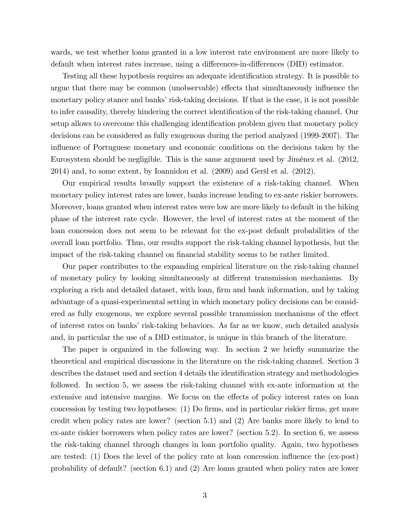wards, we test whether loans granted in a low interest rate environment are more likely to default when interest rates increase, using a differences-in-differences (DID) estimator.

Testing all these hypothesis requires an adequate identification strategy. It is possible to argue that there may be common (unobservable) effects that simultaneously influence the monetary policy stance and banks' risk-taking decisions. If that is the case, it is not possible to infer causality, thereby hindering the correct identification of the risk-taking channel. Our setup allows to overcome this challenging identification problem given that monetary policy decisions can be considered as fully exogenous during the period analyzed (1999-2007). The influence of Portuguese monetary and economic conditions on the decisions taken by the Eurosystem should be negligible. This is the same argument used by JimÈnez et al. (2012, 2014) and, to some extent, by Ioannidou et al. (2009) and Geröl et al. (2012).

Our empirical results broadly support the existence of a risk-taking channel. When monetary policy interest rates are lower, banks increase lending to ex-ante riskier borrowers. Moreover, loans granted when interest rates were low are more likely to default in the hiking phase of the interest rate cycle. However, the level of interest rates at the moment of the loan concession does not seem to be relevant for the ex-post default probabilities of the overall loan portfolio. Thus, our results support the risk-taking channel hypothesis, but the impact of the risk-taking channel on financial stability seems to be rather limited.

Our paper contributes to the expanding empirical literature on the risk-taking channel of monetary policy by looking simultaneously at different transmission mechanisms. By exploring a rich and detailed dataset, with loan, firm and bank information, and by taking advantage of a quasi-experimental setting in which monetary policy decisions can be considered as fully exogenous, we explore several possible transmission mechanisms of the effect of interest rates on banks' risk-taking behaviors. As far as we know, such detailed analysis and, in particular the use of a DID estimator, is unique in this branch of the literature.

The paper is organized in the following way. In section 2 we briefly summarize the theoretical and empirical discussions in the literature on the risk-taking channel. Section 3 describes the dataset used and section 4 details the identification strategy and methodologies followed. In section 5, we assess the risk-taking channel with ex-ante information at the extensive and intensive margins. We focus on the effects of policy interest rates on loan concession by testing two hypotheses: (1) Do firms, and in particular riskier firms, get more credit when policy rates are lower? (section 5.1) and (2) Are banks more likely to lend to ex-ante riskier borrowers when policy rates are lower? (section 5.2). In section 6, we assess the risk-taking channel through changes in loan portfolio quality. Again, two hypotheses are tested: (1) Does the level of the policy rate at loan concession ináuence the (ex-post) probability of default? (section 6.1) and (2) Are loans granted when policy rates are lower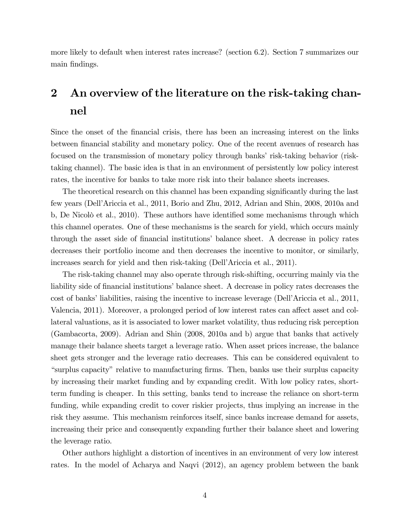more likely to default when interest rates increase? (section 6.2). Section 7 summarizes our main findings.

# 2 An overview of the literature on the risk-taking channel

Since the onset of the financial crisis, there has been an increasing interest on the links between financial stability and monetary policy. One of the recent avenues of research has focused on the transmission of monetary policy through banks' risk-taking behavior (risktaking channel). The basic idea is that in an environment of persistently low policy interest rates, the incentive for banks to take more risk into their balance sheets increases.

The theoretical research on this channel has been expanding significantly during the last few years (DellíAriccia et al., 2011, Borio and Zhu, 2012, Adrian and Shin, 2008, 2010a and b, De Nicolò et al., 2010). These authors have identified some mechanisms through which this channel operates. One of these mechanisms is the search for yield, which occurs mainly through the asset side of financial institutions' balance sheet. A decrease in policy rates decreases their portfolio income and then decreases the incentive to monitor, or similarly, increases search for yield and then risk-taking (Dell'Ariccia et al., 2011).

The risk-taking channel may also operate through risk-shifting, occurring mainly via the liability side of financial institutions' balance sheet. A decrease in policy rates decreases the cost of banks' liabilities, raising the incentive to increase leverage (Dell'Ariccia et al., 2011, Valencia, 2011). Moreover, a prolonged period of low interest rates can affect asset and collateral valuations, as it is associated to lower market volatility, thus reducing risk perception (Gambacorta, 2009). Adrian and Shin (2008, 2010a and b) argue that banks that actively manage their balance sheets target a leverage ratio. When asset prices increase, the balance sheet gets stronger and the leverage ratio decreases. This can be considered equivalent to ìsurplus capacityîrelative to manufacturing Örms. Then, banks use their surplus capacity by increasing their market funding and by expanding credit. With low policy rates, shortterm funding is cheaper. In this setting, banks tend to increase the reliance on short-term funding, while expanding credit to cover riskier projects, thus implying an increase in the risk they assume. This mechanism reinforces itself, since banks increase demand for assets, increasing their price and consequently expanding further their balance sheet and lowering the leverage ratio.

Other authors highlight a distortion of incentives in an environment of very low interest rates. In the model of Acharya and Naqvi (2012), an agency problem between the bank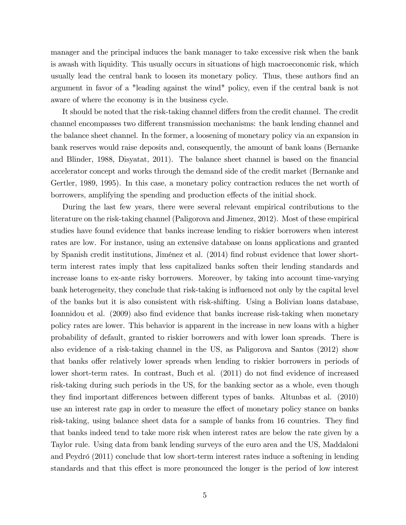manager and the principal induces the bank manager to take excessive risk when the bank is awash with liquidity. This usually occurs in situations of high macroeconomic risk, which usually lead the central bank to loosen its monetary policy. Thus, these authors find an argument in favor of a "leading against the wind" policy, even if the central bank is not aware of where the economy is in the business cycle.

It should be noted that the risk-taking channel differs from the credit channel. The credit channel encompasses two different transmission mechanisms: the bank lending channel and the balance sheet channel. In the former, a loosening of monetary policy via an expansion in bank reserves would raise deposits and, consequently, the amount of bank loans (Bernanke and Blinder, 1988, Disyatat, 2011). The balance sheet channel is based on the financial accelerator concept and works through the demand side of the credit market (Bernanke and Gertler, 1989, 1995). In this case, a monetary policy contraction reduces the net worth of borrowers, amplifying the spending and production effects of the initial shock.

During the last few years, there were several relevant empirical contributions to the literature on the risk-taking channel (Paligorova and Jimenez, 2012). Most of these empirical studies have found evidence that banks increase lending to riskier borrowers when interest rates are low. For instance, using an extensive database on loans applications and granted by Spanish credit institutions, Jiménez et al. (2014) find robust evidence that lower shortterm interest rates imply that less capitalized banks soften their lending standards and increase loans to ex-ante risky borrowers. Moreover, by taking into account time-varying bank heterogeneity, they conclude that risk-taking is influenced not only by the capital level of the banks but it is also consistent with risk-shifting. Using a Bolivian loans database, Ioannidou et al. (2009) also find evidence that banks increase risk-taking when monetary policy rates are lower. This behavior is apparent in the increase in new loans with a higher probability of default, granted to riskier borrowers and with lower loan spreads. There is also evidence of a risk-taking channel in the US, as Paligorova and Santos (2012) show that banks offer relatively lower spreads when lending to riskier borrowers in periods of lower short-term rates. In contrast, Buch et al. (2011) do not find evidence of increased risk-taking during such periods in the US, for the banking sector as a whole, even though they find important differences between different types of banks. Altunbas et al. (2010) use an interest rate gap in order to measure the effect of monetary policy stance on banks risk-taking, using balance sheet data for a sample of banks from 16 countries. They find that banks indeed tend to take more risk when interest rates are below the rate given by a Taylor rule. Using data from bank lending surveys of the euro area and the US, Maddaloni and Peydró (2011) conclude that low short-term interest rates induce a softening in lending standards and that this effect is more pronounced the longer is the period of low interest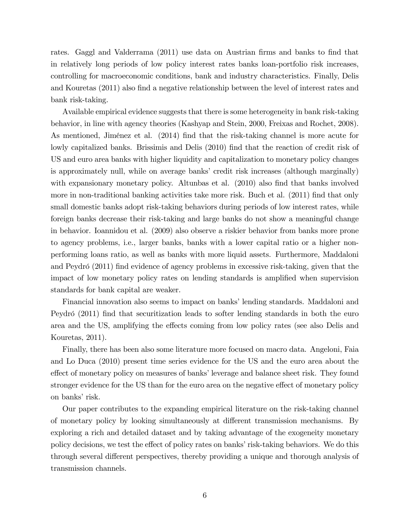rates. Gaggl and Valderrama (2011) use data on Austrian firms and banks to find that in relatively long periods of low policy interest rates banks loan-portfolio risk increases, controlling for macroeconomic conditions, bank and industry characteristics. Finally, Delis and Kouretas (2011) also find a negative relationship between the level of interest rates and bank risk-taking.

Available empirical evidence suggests that there is some heterogeneity in bank risk-taking behavior, in line with agency theories (Kashyap and Stein, 2000, Freixas and Rochet, 2008). As mentioned, Jiménez et al. (2014) find that the risk-taking channel is more acute for lowly capitalized banks. Brissimis and Delis (2010) find that the reaction of credit risk of US and euro area banks with higher liquidity and capitalization to monetary policy changes is approximately null, while on average banks' credit risk increases (although marginally) with expansionary monetary policy. Altunbas et al.  $(2010)$  also find that banks involved more in non-traditional banking activities take more risk. Buch et al. (2011) find that only small domestic banks adopt risk-taking behaviors during periods of low interest rates, while foreign banks decrease their risk-taking and large banks do not show a meaningful change in behavior. Ioannidou et al. (2009) also observe a riskier behavior from banks more prone to agency problems, i.e., larger banks, banks with a lower capital ratio or a higher nonperforming loans ratio, as well as banks with more liquid assets. Furthermore, Maddaloni and Peydró (2011) find evidence of agency problems in excessive risk-taking, given that the impact of low monetary policy rates on lending standards is amplified when supervision standards for bank capital are weaker.

Financial innovation also seems to impact on banks' lending standards. Maddaloni and Peydró (2011) find that securitization leads to softer lending standards in both the euro area and the US, amplifying the effects coming from low policy rates (see also Delis and Kouretas, 2011).

Finally, there has been also some literature more focused on macro data. Angeloni, Faia and Lo Duca (2010) present time series evidence for the US and the euro area about the effect of monetary policy on measures of banks' leverage and balance sheet risk. They found stronger evidence for the US than for the euro area on the negative effect of monetary policy on banks' risk.

Our paper contributes to the expanding empirical literature on the risk-taking channel of monetary policy by looking simultaneously at different transmission mechanisms. By exploring a rich and detailed dataset and by taking advantage of the exogeneity monetary policy decisions, we test the effect of policy rates on banks' risk-taking behaviors. We do this through several different perspectives, thereby providing a unique and thorough analysis of transmission channels.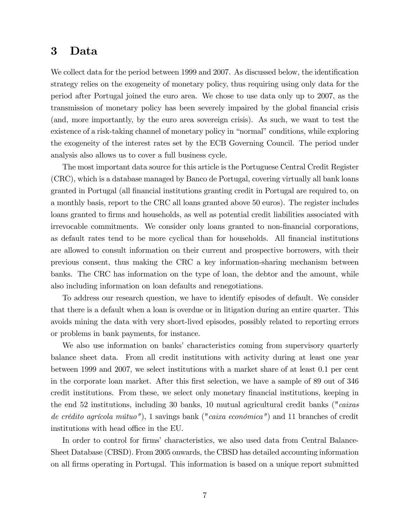### 3 Data

We collect data for the period between 1999 and 2007. As discussed below, the identification strategy relies on the exogeneity of monetary policy, thus requiring using only data for the period after Portugal joined the euro area. We chose to use data only up to 2007, as the transmission of monetary policy has been severely impaired by the global financial crisis (and, more importantly, by the euro area sovereign crisis). As such, we want to test the existence of a risk-taking channel of monetary policy in "normal" conditions, while exploring the exogeneity of the interest rates set by the ECB Governing Council. The period under analysis also allows us to cover a full business cycle.

The most important data source for this article is the Portuguese Central Credit Register (CRC), which is a database managed by Banco de Portugal, covering virtually all bank loans granted in Portugal (all Önancial institutions granting credit in Portugal are required to, on a monthly basis, report to the CRC all loans granted above 50 euros). The register includes loans granted to firms and households, as well as potential credit liabilities associated with irrevocable commitments. We consider only loans granted to non-financial corporations, as default rates tend to be more cyclical than for households. All financial institutions are allowed to consult information on their current and prospective borrowers, with their previous consent, thus making the CRC a key information-sharing mechanism between banks. The CRC has information on the type of loan, the debtor and the amount, while also including information on loan defaults and renegotiations.

To address our research question, we have to identify episodes of default. We consider that there is a default when a loan is overdue or in litigation during an entire quarter. This avoids mining the data with very short-lived episodes, possibly related to reporting errors or problems in bank payments, for instance.

We also use information on banks' characteristics coming from supervisory quarterly balance sheet data. From all credit institutions with activity during at least one year between 1999 and 2007, we select institutions with a market share of at least 0.1 per cent in the corporate loan market. After this first selection, we have a sample of 89 out of 346 credit institutions. From these, we select only monetary financial institutions, keeping in the end 52 institutions, including 30 banks, 10 mutual agricultural credit banks ("caixas de crédito agrícola mútuo"), 1 savings bank ("caixa económica") and 11 branches of credit institutions with head office in the EU.

In order to control for firms' characteristics, we also used data from Central Balance-Sheet Database (CBSD). From 2005 onwards, the CBSD has detailed accounting information on all Örms operating in Portugal. This information is based on a unique report submitted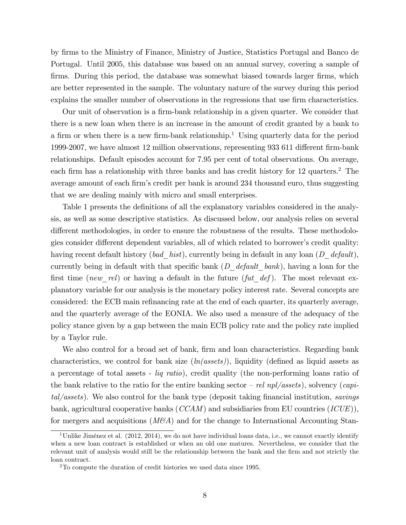by Örms to the Ministry of Finance, Ministry of Justice, Statistics Portugal and Banco de Portugal. Until 2005, this database was based on an annual survey, covering a sample of firms. During this period, the database was somewhat biased towards larger firms, which are better represented in the sample. The voluntary nature of the survey during this period explains the smaller number of observations in the regressions that use firm characteristics.

Our unit of observation is a firm-bank relationship in a given quarter. We consider that there is a new loan when there is an increase in the amount of credit granted by a bank to a firm or when there is a new firm-bank relationship.<sup>1</sup> Using quarterly data for the period 1999-2007, we have almost 12 million observations, representing 933 611 different firm-bank relationships. Default episodes account for 7.95 per cent of total observations. On average, each firm has a relationship with three banks and has credit history for 12 quarters.<sup>2</sup> The average amount of each firm's credit per bank is around 234 thousand euro, thus suggesting that we are dealing mainly with micro and small enterprises.

Table 1 presents the definitions of all the explanatory variables considered in the analysis, as well as some descriptive statistics. As discussed below, our analysis relies on several different methodologies, in order to ensure the robustness of the results. These methodologies consider different dependent variables, all of which related to borrower's credit quality: having recent default history (bad\_hist), currently being in default in any loan (D\_default), currently being in default with that specific bank  $(D \text{ default} \text{ bank})$ , having a loan for the first time (new rel) or having a default in the future (fut def). The most relevant explanatory variable for our analysis is the monetary policy interest rate. Several concepts are considered: the ECB main refinancing rate at the end of each quarter, its quarterly average, and the quarterly average of the EONIA. We also used a measure of the adequacy of the policy stance given by a gap between the main ECB policy rate and the policy rate implied by a Taylor rule.

We also control for a broad set of bank, firm and loan characteristics. Regarding bank characteristics, we control for bank size  $(ln(assert))$ , liquidity (defined as liquid assets as a percentage of total assets - liq ratio), credit quality (the non-performing loans ratio of the bank relative to the ratio for the entire banking sector – rel npl/assets), solvency (capi $tal/assets$ ). We also control for the bank type (deposit taking financial institution, savings bank, agricultural cooperative banks  $(CCAM)$  and subsidiaries from EU countries  $(ICUE)$ ), for mergers and acquisitions  $(M\&A)$  and for the change to International Accounting Stan-

<sup>&</sup>lt;sup>1</sup>Unlike Jiménez et al. (2012, 2014), we do not have individual loans data, i.e., we cannot exactly identify when a new loan contract is established or when an old one matures. Nevertheless, we consider that the relevant unit of analysis would still be the relationship between the bank and the firm and not strictly the loan contract.

<sup>2</sup>To compute the duration of credit histories we used data since 1995.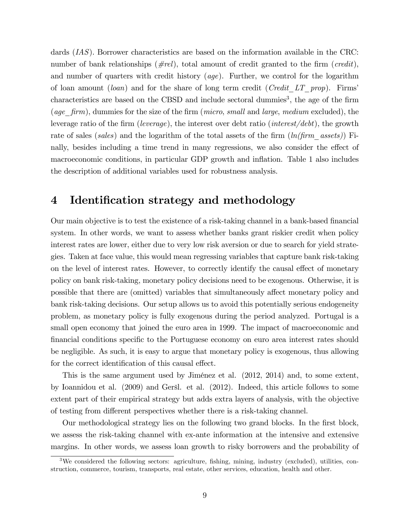dards (IAS). Borrower characteristics are based on the information available in the CRC: number of bank relationships ( $\# rel$ ), total amount of credit granted to the firm (credit), and number of quarters with credit history  $(age)$ . Further, we control for the logarithm of loan amount *(loan)* and for the share of long term credit *(Credit LT prop)*. Firms characteristics are based on the CBSD and include sectoral dummies<sup>3</sup>, the age of the firm (age  $firm$ ), dummies for the size of the firm (micro, small and large, medium excluded), the leverage ratio of the firm (leverage), the interest over debt ratio (interest/debt), the growth rate of sales (sales) and the logarithm of the total assets of the firm  $(ln(firm\;assets))$  Finally, besides including a time trend in many regressions, we also consider the effect of macroeconomic conditions, in particular GDP growth and inflation. Table 1 also includes the description of additional variables used for robustness analysis.

## 4 Identification strategy and methodology

Our main objective is to test the existence of a risk-taking channel in a bank-based financial system. In other words, we want to assess whether banks grant riskier credit when policy interest rates are lower, either due to very low risk aversion or due to search for yield strategies. Taken at face value, this would mean regressing variables that capture bank risk-taking on the level of interest rates. However, to correctly identify the causal effect of monetary policy on bank risk-taking, monetary policy decisions need to be exogenous. Otherwise, it is possible that there are (omitted) variables that simultaneously affect monetary policy and bank risk-taking decisions. Our setup allows us to avoid this potentially serious endogeneity problem, as monetary policy is fully exogenous during the period analyzed. Portugal is a small open economy that joined the euro area in 1999. The impact of macroeconomic and Önancial conditions speciÖc to the Portuguese economy on euro area interest rates should be negligible. As such, it is easy to argue that monetary policy is exogenous, thus allowing for the correct identification of this causal effect.

This is the same argument used by Jiménez et al. (2012, 2014) and, to some extent, by Ioannidou et al. (2009) and Geröl. et al. (2012). Indeed, this article follows to some extent part of their empirical strategy but adds extra layers of analysis, with the objective of testing from different perspectives whether there is a risk-taking channel.

Our methodological strategy lies on the following two grand blocks. In the first block, we assess the risk-taking channel with ex-ante information at the intensive and extensive margins. In other words, we assess loan growth to risky borrowers and the probability of

<sup>&</sup>lt;sup>3</sup>We considered the following sectors: agriculture, fishing, mining, industry (excluded), utilities, construction, commerce, tourism, transports, real estate, other services, education, health and other.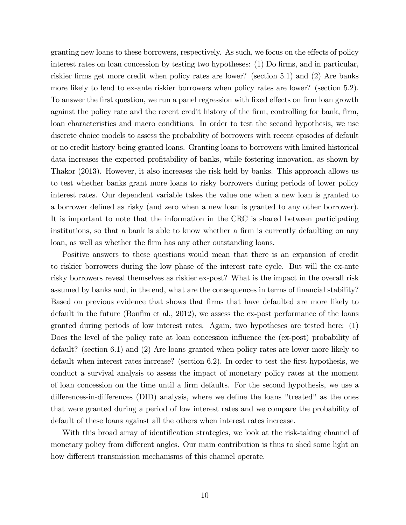granting new loans to these borrowers, respectively. As such, we focus on the effects of policy interest rates on loan concession by testing two hypotheses: (1) Do firms, and in particular, riskier firms get more credit when policy rates are lower? (section 5.1) and (2) Are banks more likely to lend to ex-ante riskier borrowers when policy rates are lower? (section 5.2). To answer the first question, we run a panel regression with fixed effects on firm loan growth against the policy rate and the recent credit history of the firm, controlling for bank, firm, loan characteristics and macro conditions. In order to test the second hypothesis, we use discrete choice models to assess the probability of borrowers with recent episodes of default or no credit history being granted loans. Granting loans to borrowers with limited historical data increases the expected profitability of banks, while fostering innovation, as shown by Thakor (2013). However, it also increases the risk held by banks. This approach allows us to test whether banks grant more loans to risky borrowers during periods of lower policy interest rates. Our dependent variable takes the value one when a new loan is granted to a borrower defined as risky (and zero when a new loan is granted to any other borrower). It is important to note that the information in the CRC is shared between participating institutions, so that a bank is able to know whether a firm is currently defaulting on any loan, as well as whether the firm has any other outstanding loans.

Positive answers to these questions would mean that there is an expansion of credit to riskier borrowers during the low phase of the interest rate cycle. But will the ex-ante risky borrowers reveal themselves as riskier ex-post? What is the impact in the overall risk assumed by banks and, in the end, what are the consequences in terms of financial stability? Based on previous evidence that shows that firms that have defaulted are more likely to default in the future (Bonfim et al.,  $2012$ ), we assess the ex-post performance of the loans granted during periods of low interest rates. Again, two hypotheses are tested here: (1) Does the level of the policy rate at loan concession influence the (ex-post) probability of default? (section 6.1) and (2) Are loans granted when policy rates are lower more likely to default when interest rates increase? (section 6.2). In order to test the first hypothesis, we conduct a survival analysis to assess the impact of monetary policy rates at the moment of loan concession on the time until a Örm defaults. For the second hypothesis, we use a differences-in-differences (DID) analysis, where we define the loans "treated" as the ones that were granted during a period of low interest rates and we compare the probability of default of these loans against all the others when interest rates increase.

With this broad array of identification strategies, we look at the risk-taking channel of monetary policy from different angles. Our main contribution is thus to shed some light on how different transmission mechanisms of this channel operate.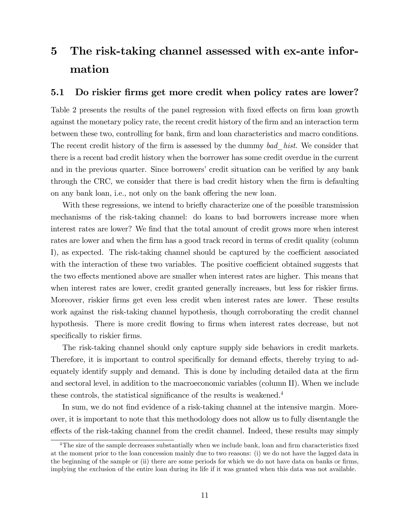# 5 The risk-taking channel assessed with ex-ante information

### 5.1 Do riskier firms get more credit when policy rates are lower?

Table 2 presents the results of the panel regression with fixed effects on firm loan growth against the monetary policy rate, the recent credit history of the firm and an interaction term between these two, controlling for bank, firm and loan characteristics and macro conditions. The recent credit history of the firm is assessed by the dummy bad—hist. We consider that there is a recent bad credit history when the borrower has some credit overdue in the current and in the previous quarter. Since borrowers' credit situation can be verified by any bank through the CRC, we consider that there is bad credit history when the firm is defaulting on any bank loan, i.e., not only on the bank offering the new loan.

With these regressions, we intend to briefly characterize one of the possible transmission mechanisms of the risk-taking channel: do loans to bad borrowers increase more when interest rates are lower? We find that the total amount of credit grows more when interest rates are lower and when the firm has a good track record in terms of credit quality (column I), as expected. The risk-taking channel should be captured by the coefficient associated with the interaction of these two variables. The positive coefficient obtained suggests that the two effects mentioned above are smaller when interest rates are higher. This means that when interest rates are lower, credit granted generally increases, but less for riskier firms. Moreover, riskier Örms get even less credit when interest rates are lower. These results work against the risk-taking channel hypothesis, though corroborating the credit channel hypothesis. There is more credit flowing to firms when interest rates decrease, but not specifically to riskier firms.

The risk-taking channel should only capture supply side behaviors in credit markets. Therefore, it is important to control specifically for demand effects, thereby trying to adequately identify supply and demand. This is done by including detailed data at the firm and sectoral level, in addition to the macroeconomic variables (column II). When we include these controls, the statistical significance of the results is weakened.<sup>4</sup>

In sum, we do not find evidence of a risk-taking channel at the intensive margin. Moreover, it is important to note that this methodology does not allow us to fully disentangle the effects of the risk-taking channel from the credit channel. Indeed, these results may simply

 $4$ The size of the sample decreases substantially when we include bank, loan and firm characteristics fixed at the moment prior to the loan concession mainly due to two reasons: (i) we do not have the lagged data in the beginning of the sample or (ii) there are some periods for which we do not have data on banks or firms, implying the exclusion of the entire loan during its life if it was granted when this data was not available.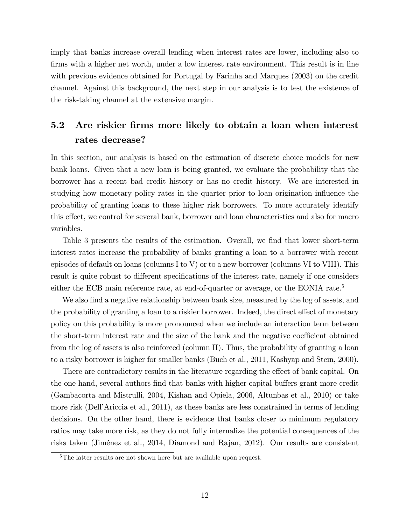imply that banks increase overall lending when interest rates are lower, including also to firms with a higher net worth, under a low interest rate environment. This result is in line with previous evidence obtained for Portugal by Farinha and Marques (2003) on the credit channel. Against this background, the next step in our analysis is to test the existence of the risk-taking channel at the extensive margin.

## 5.2 Are riskier firms more likely to obtain a loan when interest rates decrease?

In this section, our analysis is based on the estimation of discrete choice models for new bank loans. Given that a new loan is being granted, we evaluate the probability that the borrower has a recent bad credit history or has no credit history. We are interested in studying how monetary policy rates in the quarter prior to loan origination ináuence the probability of granting loans to these higher risk borrowers. To more accurately identify this effect, we control for several bank, borrower and loan characteristics and also for macro variables.

Table 3 presents the results of the estimation. Overall, we find that lower short-term interest rates increase the probability of banks granting a loan to a borrower with recent episodes of default on loans (columns I to V) or to a new borrower (columns VI to VIII). This result is quite robust to different specifications of the interest rate, namely if one considers either the ECB main reference rate, at end-of-quarter or average, or the EONIA rate.<sup>5</sup>

We also find a negative relationship between bank size, measured by the log of assets, and the probability of granting a loan to a riskier borrower. Indeed, the direct effect of monetary policy on this probability is more pronounced when we include an interaction term between the short-term interest rate and the size of the bank and the negative coefficient obtained from the log of assets is also reinforced (column II). Thus, the probability of granting a loan to a risky borrower is higher for smaller banks (Buch et al., 2011, Kashyap and Stein, 2000).

There are contradictory results in the literature regarding the effect of bank capital. On the one hand, several authors find that banks with higher capital buffers grant more credit (Gambacorta and Mistrulli, 2004, Kishan and Opiela, 2006, Altunbas et al., 2010) or take more risk (Dell'Ariccia et al., 2011), as these banks are less constrained in terms of lending decisions. On the other hand, there is evidence that banks closer to minimum regulatory ratios may take more risk, as they do not fully internalize the potential consequences of the risks taken (Jiménez et al., 2014, Diamond and Rajan, 2012). Our results are consistent

<sup>&</sup>lt;sup>5</sup>The latter results are not shown here but are available upon request.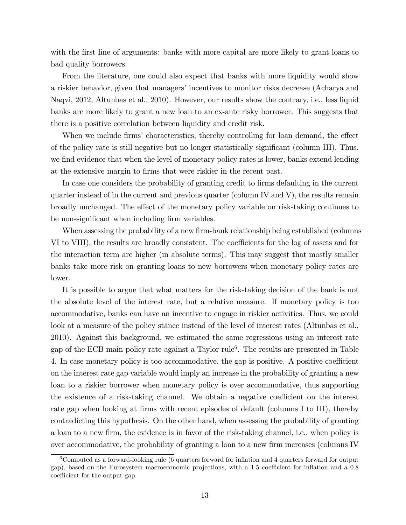with the first line of arguments: banks with more capital are more likely to grant loans to bad quality borrowers.

From the literature, one could also expect that banks with more liquidity would show a riskier behavior, given that managers' incentives to monitor risks decrease (Acharya and Naqvi, 2012, Altunbas et al., 2010). However, our results show the contrary, i.e., less liquid banks are more likely to grant a new loan to an ex-ante risky borrower. This suggests that there is a positive correlation between liquidity and credit risk.

When we include firms' characteristics, thereby controlling for loan demand, the effect of the policy rate is still negative but no longer statistically significant (column III). Thus, we find evidence that when the level of monetary policy rates is lower, banks extend lending at the extensive margin to firms that were riskier in the recent past.

In case one considers the probability of granting credit to firms defaulting in the current quarter instead of in the current and previous quarter (column IV and V), the results remain broadly unchanged. The effect of the monetary policy variable on risk-taking continues to be non-significant when including firm variables.

When assessing the probability of a new firm-bank relationship being established (columns VI to VIII), the results are broadly consistent. The coefficients for the log of assets and for the interaction term are higher (in absolute terms). This may suggest that mostly smaller banks take more risk on granting loans to new borrowers when monetary policy rates are lower.

It is possible to argue that what matters for the risk-taking decision of the bank is not the absolute level of the interest rate, but a relative measure. If monetary policy is too accommodative, banks can have an incentive to engage in riskier activities. Thus, we could look at a measure of the policy stance instead of the level of interest rates (Altunbas et al., 2010). Against this background, we estimated the same regressions using an interest rate gap of the ECB main policy rate against a Taylor rule<sup>6</sup> . The results are presented in Table 4. In case monetary policy is too accommodative, the gap is positive. A positive coefficient on the interest rate gap variable would imply an increase in the probability of granting a new loan to a riskier borrower when monetary policy is over accommodative, thus supporting the existence of a risk-taking channel. We obtain a negative coefficient on the interest rate gap when looking at firms with recent episodes of default (columns I to III), thereby contradicting this hypothesis. On the other hand, when assessing the probability of granting a loan to a new firm, the evidence is in favor of the risk-taking channel, i.e., when policy is over accommodative, the probability of granting a loan to a new firm increases (columns IV)

 $6$ Computed as a forward-looking rule (6 quarters forward for inflation and 4 quarters forward for output gap), based on the Eurosystem macroeconomic projections, with a 1.5 coefficient for inflation and a 0.8 coefficient for the output gap.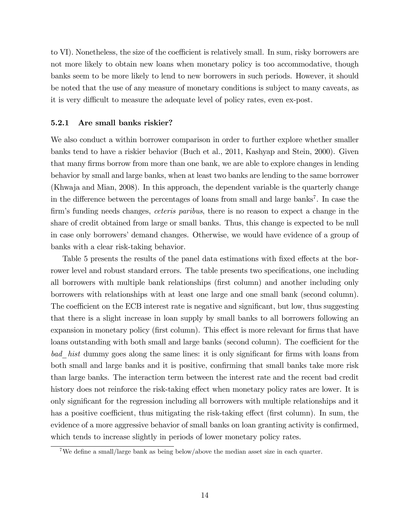to VI). Nonetheless, the size of the coefficient is relatively small. In sum, risky borrowers are not more likely to obtain new loans when monetary policy is too accommodative, though banks seem to be more likely to lend to new borrowers in such periods. However, it should be noted that the use of any measure of monetary conditions is subject to many caveats, as it is very difficult to measure the adequate level of policy rates, even ex-post.

#### 5.2.1 Are small banks riskier?

We also conduct a within borrower comparison in order to further explore whether smaller banks tend to have a riskier behavior (Buch et al., 2011, Kashyap and Stein, 2000). Given that many firms borrow from more than one bank, we are able to explore changes in lending behavior by small and large banks, when at least two banks are lending to the same borrower (Khwaja and Mian, 2008). In this approach, the dependent variable is the quarterly change in the difference between the percentages of loans from small and large banks<sup>7</sup>. In case the firm's funding needs changes, *ceteris paribus*, there is no reason to expect a change in the share of credit obtained from large or small banks. Thus, this change is expected to be null in case only borrowers' demand changes. Otherwise, we would have evidence of a group of banks with a clear risk-taking behavior.

Table 5 presents the results of the panel data estimations with fixed effects at the borrower level and robust standard errors. The table presents two specifications, one including all borrowers with multiple bank relationships (first column) and another including only borrowers with relationships with at least one large and one small bank (second column). The coefficient on the ECB interest rate is negative and significant, but low, thus suggesting that there is a slight increase in loan supply by small banks to all borrowers following an expansion in monetary policy (first column). This effect is more relevant for firms that have loans outstanding with both small and large banks (second column). The coefficient for the bad hist dummy goes along the same lines: it is only significant for firms with loans from both small and large banks and it is positive, confirming that small banks take more risk than large banks. The interaction term between the interest rate and the recent bad credit history does not reinforce the risk-taking effect when monetary policy rates are lower. It is only significant for the regression including all borrowers with multiple relationships and it has a positive coefficient, thus mitigating the risk-taking effect (first column). In sum, the evidence of a more aggressive behavior of small banks on loan granting activity is confirmed, which tends to increase slightly in periods of lower monetary policy rates.

<sup>&</sup>lt;sup>7</sup>We define a small/large bank as being below/above the median asset size in each quarter.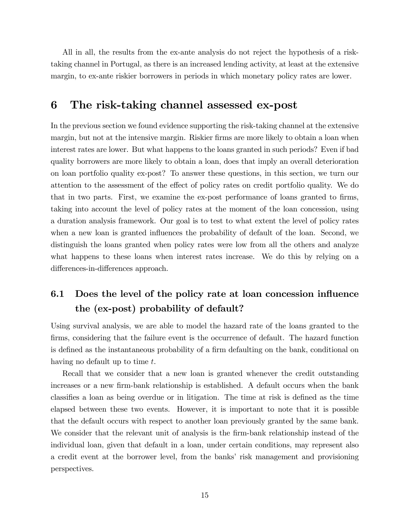All in all, the results from the ex-ante analysis do not reject the hypothesis of a risktaking channel in Portugal, as there is an increased lending activity, at least at the extensive margin, to ex-ante riskier borrowers in periods in which monetary policy rates are lower.

## 6 The risk-taking channel assessed ex-post

In the previous section we found evidence supporting the risk-taking channel at the extensive margin, but not at the intensive margin. Riskier firms are more likely to obtain a loan when interest rates are lower. But what happens to the loans granted in such periods? Even if bad quality borrowers are more likely to obtain a loan, does that imply an overall deterioration on loan portfolio quality ex-post? To answer these questions, in this section, we turn our attention to the assessment of the effect of policy rates on credit portfolio quality. We do that in two parts. First, we examine the ex-post performance of loans granted to firms, taking into account the level of policy rates at the moment of the loan concession, using a duration analysis framework. Our goal is to test to what extent the level of policy rates when a new loan is granted influences the probability of default of the loan. Second, we distinguish the loans granted when policy rates were low from all the others and analyze what happens to these loans when interest rates increase. We do this by relying on a differences-in-differences approach.

## 6.1 Does the level of the policy rate at loan concession influence the (ex-post) probability of default?

Using survival analysis, we are able to model the hazard rate of the loans granted to the firms, considering that the failure event is the occurrence of default. The hazard function is defined as the instantaneous probability of a firm defaulting on the bank, conditional on having no default up to time t.

Recall that we consider that a new loan is granted whenever the credit outstanding increases or a new firm-bank relationship is established. A default occurs when the bank classifies a loan as being overdue or in litigation. The time at risk is defined as the time elapsed between these two events. However, it is important to note that it is possible that the default occurs with respect to another loan previously granted by the same bank. We consider that the relevant unit of analysis is the firm-bank relationship instead of the individual loan, given that default in a loan, under certain conditions, may represent also a credit event at the borrower level, from the banks' risk management and provisioning perspectives.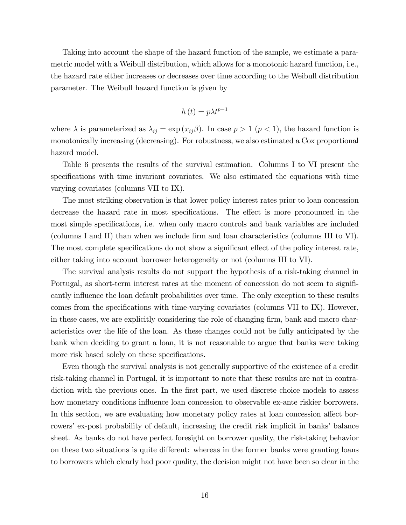Taking into account the shape of the hazard function of the sample, we estimate a parametric model with a Weibull distribution, which allows for a monotonic hazard function, i.e., the hazard rate either increases or decreases over time according to the Weibull distribution parameter. The Weibull hazard function is given by

$$
h\left(t\right) = p\lambda t^{p-1}
$$

where  $\lambda$  is parameterized as  $\lambda_{ij} = \exp(x_{ij}\beta)$ . In case  $p > 1$   $(p < 1)$ , the hazard function is monotonically increasing (decreasing). For robustness, we also estimated a Cox proportional hazard model.

Table 6 presents the results of the survival estimation. Columns I to VI present the specifications with time invariant covariates. We also estimated the equations with time varying covariates (columns VII to IX).

The most striking observation is that lower policy interest rates prior to loan concession decrease the hazard rate in most specifications. The effect is more pronounced in the most simple specifications, i.e. when only macro controls and bank variables are included (columns I and II) than when we include Örm and loan characteristics (columns III to VI). The most complete specifications do not show a significant effect of the policy interest rate, either taking into account borrower heterogeneity or not (columns III to VI).

The survival analysis results do not support the hypothesis of a risk-taking channel in Portugal, as short-term interest rates at the moment of concession do not seem to significantly influence the loan default probabilities over time. The only exception to these results comes from the specifications with time-varying covariates (columns VII to IX). However, in these cases, we are explicitly considering the role of changing firm, bank and macro characteristics over the life of the loan. As these changes could not be fully anticipated by the bank when deciding to grant a loan, it is not reasonable to argue that banks were taking more risk based solely on these specifications.

Even though the survival analysis is not generally supportive of the existence of a credit risk-taking channel in Portugal, it is important to note that these results are not in contradiction with the previous ones. In the first part, we used discrete choice models to assess how monetary conditions influence loan concession to observable ex-ante riskier borrowers. In this section, we are evaluating how monetary policy rates at loan concession affect borrowers' ex-post probability of default, increasing the credit risk implicit in banks' balance sheet. As banks do not have perfect foresight on borrower quality, the risk-taking behavior on these two situations is quite different: whereas in the former banks were granting loans to borrowers which clearly had poor quality, the decision might not have been so clear in the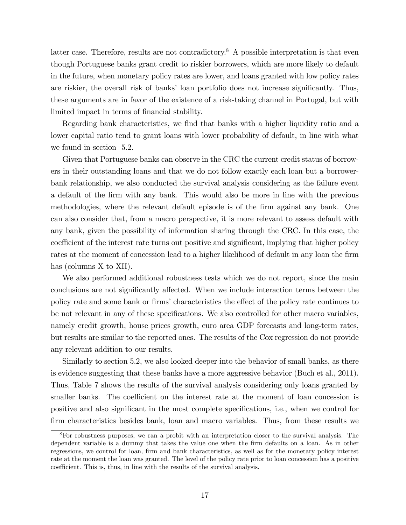latter case. Therefore, results are not contradictory.<sup>8</sup> A possible interpretation is that even though Portuguese banks grant credit to riskier borrowers, which are more likely to default in the future, when monetary policy rates are lower, and loans granted with low policy rates are riskier, the overall risk of banks' loan portfolio does not increase significantly. Thus, these arguments are in favor of the existence of a risk-taking channel in Portugal, but with limited impact in terms of financial stability.

Regarding bank characteristics, we find that banks with a higher liquidity ratio and a lower capital ratio tend to grant loans with lower probability of default, in line with what we found in section 5.2.

Given that Portuguese banks can observe in the CRC the current credit status of borrowers in their outstanding loans and that we do not follow exactly each loan but a borrowerbank relationship, we also conducted the survival analysis considering as the failure event a default of the Örm with any bank. This would also be more in line with the previous methodologies, where the relevant default episode is of the Örm against any bank. One can also consider that, from a macro perspective, it is more relevant to assess default with any bank, given the possibility of information sharing through the CRC. In this case, the coefficient of the interest rate turns out positive and significant, implying that higher policy rates at the moment of concession lead to a higher likelihood of default in any loan the firm has (columns X to XII).

We also performed additional robustness tests which we do not report, since the main conclusions are not significantly affected. When we include interaction terms between the policy rate and some bank or firms' characteristics the effect of the policy rate continues to be not relevant in any of these specifications. We also controlled for other macro variables, namely credit growth, house prices growth, euro area GDP forecasts and long-term rates, but results are similar to the reported ones. The results of the Cox regression do not provide any relevant addition to our results.

Similarly to section 5.2, we also looked deeper into the behavior of small banks, as there is evidence suggesting that these banks have a more aggressive behavior (Buch et al., 2011). Thus, Table 7 shows the results of the survival analysis considering only loans granted by smaller banks. The coefficient on the interest rate at the moment of loan concession is positive and also significant in the most complete specifications, i.e., when we control for firm characteristics besides bank, loan and macro variables. Thus, from these results we

<sup>8</sup>For robustness purposes, we ran a probit with an interpretation closer to the survival analysis. The dependent variable is a dummy that takes the value one when the firm defaults on a loan. As in other regressions, we control for loan, firm and bank characteristics, as well as for the monetary policy interest rate at the moment the loan was granted. The level of the policy rate prior to loan concession has a positive coefficient. This is, thus, in line with the results of the survival analysis.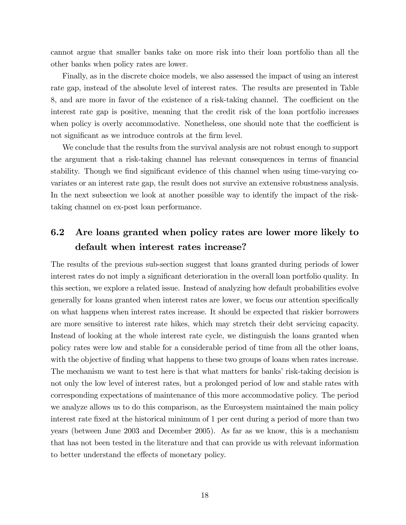cannot argue that smaller banks take on more risk into their loan portfolio than all the other banks when policy rates are lower.

Finally, as in the discrete choice models, we also assessed the impact of using an interest rate gap, instead of the absolute level of interest rates. The results are presented in Table 8, and are more in favor of the existence of a risk-taking channel. The coefficient on the interest rate gap is positive, meaning that the credit risk of the loan portfolio increases when policy is overly accommodative. Nonetheless, one should note that the coefficient is not significant as we introduce controls at the firm level.

We conclude that the results from the survival analysis are not robust enough to support the argument that a risk-taking channel has relevant consequences in terms of financial stability. Though we find significant evidence of this channel when using time-varying covariates or an interest rate gap, the result does not survive an extensive robustness analysis. In the next subsection we look at another possible way to identify the impact of the risktaking channel on ex-post loan performance.

## 6.2 Are loans granted when policy rates are lower more likely to default when interest rates increase?

The results of the previous sub-section suggest that loans granted during periods of lower interest rates do not imply a significant deterioration in the overall loan portfolio quality. In this section, we explore a related issue. Instead of analyzing how default probabilities evolve generally for loans granted when interest rates are lower, we focus our attention specifically on what happens when interest rates increase. It should be expected that riskier borrowers are more sensitive to interest rate hikes, which may stretch their debt servicing capacity. Instead of looking at the whole interest rate cycle, we distinguish the loans granted when policy rates were low and stable for a considerable period of time from all the other loans, with the objective of finding what happens to these two groups of loans when rates increase. The mechanism we want to test here is that what matters for banks' risk-taking decision is not only the low level of interest rates, but a prolonged period of low and stable rates with corresponding expectations of maintenance of this more accommodative policy. The period we analyze allows us to do this comparison, as the Eurosystem maintained the main policy interest rate fixed at the historical minimum of 1 per cent during a period of more than two years (between June 2003 and December 2005). As far as we know, this is a mechanism that has not been tested in the literature and that can provide us with relevant information to better understand the effects of monetary policy.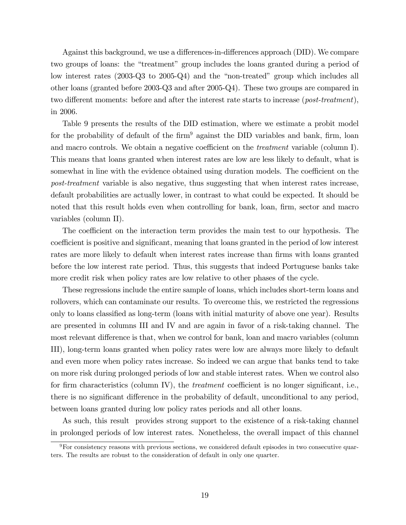Against this background, we use a differences-in-differences approach (DID). We compare two groups of loans: the "treatment" group includes the loans granted during a period of low interest rates  $(2003-\text{Q}3 \text{ to } 2005-\text{Q}4)$  and the "non-treated" group which includes all other loans (granted before 2003-Q3 and after 2005-Q4). These two groups are compared in two different moments: before and after the interest rate starts to increase ( $post-treatment$ ), in 2006.

Table 9 presents the results of the DID estimation, where we estimate a probit model for the probability of default of the  $\dim^9$  against the DID variables and bank, firm, loan and macro controls. We obtain a negative coefficient on the *treatment* variable (column I). This means that loans granted when interest rates are low are less likely to default, what is somewhat in line with the evidence obtained using duration models. The coefficient on the post-treatment variable is also negative, thus suggesting that when interest rates increase, default probabilities are actually lower, in contrast to what could be expected. It should be noted that this result holds even when controlling for bank, loan, firm, sector and macro variables (column II).

The coefficient on the interaction term provides the main test to our hypothesis. The coefficient is positive and significant, meaning that loans granted in the period of low interest rates are more likely to default when interest rates increase than firms with loans granted before the low interest rate period. Thus, this suggests that indeed Portuguese banks take more credit risk when policy rates are low relative to other phases of the cycle.

These regressions include the entire sample of loans, which includes short-term loans and rollovers, which can contaminate our results. To overcome this, we restricted the regressions only to loans classified as long-term (loans with initial maturity of above one year). Results are presented in columns III and IV and are again in favor of a risk-taking channel. The most relevant difference is that, when we control for bank, loan and macro variables (column III), long-term loans granted when policy rates were low are always more likely to default and even more when policy rates increase. So indeed we can argue that banks tend to take on more risk during prolonged periods of low and stable interest rates. When we control also for firm characteristics (column IV), the *treatment* coefficient is no longer significant, i.e., there is no significant difference in the probability of default, unconditional to any period, between loans granted during low policy rates periods and all other loans.

As such, this result provides strong support to the existence of a risk-taking channel in prolonged periods of low interest rates. Nonetheless, the overall impact of this channel

<sup>9</sup>For consistency reasons with previous sections, we considered default episodes in two consecutive quarters. The results are robust to the consideration of default in only one quarter.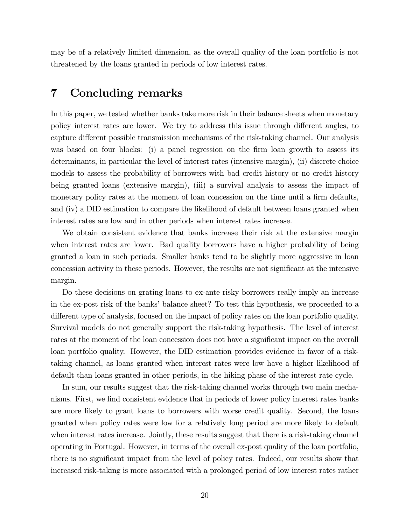may be of a relatively limited dimension, as the overall quality of the loan portfolio is not threatened by the loans granted in periods of low interest rates.

## 7 Concluding remarks

In this paper, we tested whether banks take more risk in their balance sheets when monetary policy interest rates are lower. We try to address this issue through different angles, to capture different possible transmission mechanisms of the risk-taking channel. Our analysis was based on four blocks: (i) a panel regression on the firm loan growth to assess its determinants, in particular the level of interest rates (intensive margin), (ii) discrete choice models to assess the probability of borrowers with bad credit history or no credit history being granted loans (extensive margin), (iii) a survival analysis to assess the impact of monetary policy rates at the moment of loan concession on the time until a firm defaults, and (iv) a DID estimation to compare the likelihood of default between loans granted when interest rates are low and in other periods when interest rates increase.

We obtain consistent evidence that banks increase their risk at the extensive margin when interest rates are lower. Bad quality borrowers have a higher probability of being granted a loan in such periods. Smaller banks tend to be slightly more aggressive in loan concession activity in these periods. However, the results are not significant at the intensive margin.

Do these decisions on grating loans to ex-ante risky borrowers really imply an increase in the ex-post risk of the banks' balance sheet? To test this hypothesis, we proceeded to a different type of analysis, focused on the impact of policy rates on the loan portfolio quality. Survival models do not generally support the risk-taking hypothesis. The level of interest rates at the moment of the loan concession does not have a significant impact on the overall loan portfolio quality. However, the DID estimation provides evidence in favor of a risktaking channel, as loans granted when interest rates were low have a higher likelihood of default than loans granted in other periods, in the hiking phase of the interest rate cycle.

In sum, our results suggest that the risk-taking channel works through two main mechanisms. First, we find consistent evidence that in periods of lower policy interest rates banks are more likely to grant loans to borrowers with worse credit quality. Second, the loans granted when policy rates were low for a relatively long period are more likely to default when interest rates increase. Jointly, these results suggest that there is a risk-taking channel operating in Portugal. However, in terms of the overall ex-post quality of the loan portfolio, there is no significant impact from the level of policy rates. Indeed, our results show that increased risk-taking is more associated with a prolonged period of low interest rates rather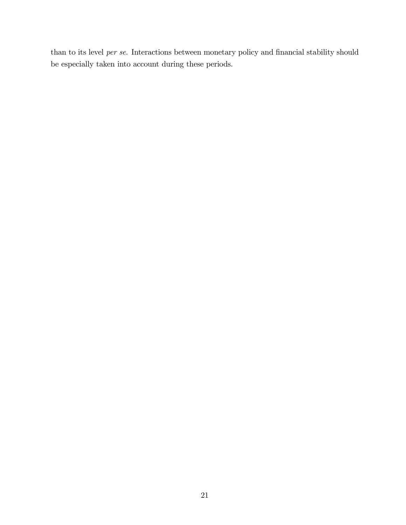than to its level *per se*. Interactions between monetary policy and financial stability should be especially taken into account during these periods.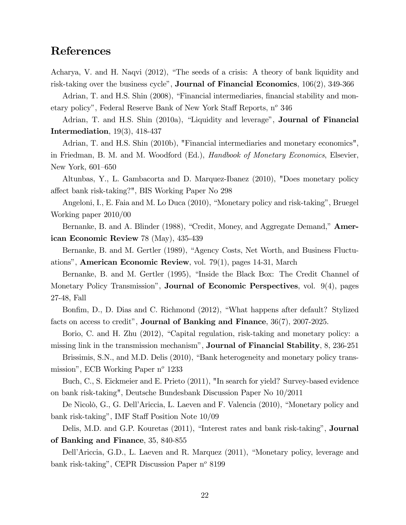## References

Acharya, V. and H. Naqvi (2012), "The seeds of a crisis: A theory of bank liquidity and risk-taking over the business cycle", **Journal of Financial Economics**,  $106(2)$ ,  $349-366$ 

Adrian, T. and H.S. Shin (2008), "Financial intermediaries, financial stability and monetary policy", Federal Reserve Bank of New York Staff Reports,  $n^{\circ}$  346

Adrian, T. and H.S. Shin (2010a), "Liquidity and leverage", **Journal of Financial** Intermediation, 19(3), 418-437

Adrian, T. and H.S. Shin (2010b), "Financial intermediaries and monetary economics", in Friedman, B. M. and M. Woodford (Ed.), Handbook of Monetary Economics, Elsevier, New York, 601-650

Altunbas, Y., L. Gambacorta and D. Marquez-Ibanez (2010), "Does monetary policy a§ect bank risk-taking?", BIS Working Paper No 298

Angeloni, I., E. Faia and M. Lo Duca (2010), "Monetary policy and risk-taking", Bruegel Working paper 2010/00

Bernanke, B. and A. Blinder (1988), "Credit, Money, and Aggregate Demand," **Amer**ican Economic Review 78 (May), 435-439

Bernanke, B. and M. Gertler (1989), "Agency Costs, Net Worth, and Business Fluctuationsî, American Economic Review, vol. 79(1), pages 14-31, March

Bernanke, B. and M. Gertler (1995), "Inside the Black Box: The Credit Channel of Monetary Policy Transmissionî, Journal of Economic Perspectives, vol. 9(4), pages 27-48, Fall

Bonfim, D., D. Dias and C. Richmond (2012), "What happens after default? Stylized facts on access to credit", **Journal of Banking and Finance**,  $36(7)$ ,  $2007-2025$ .

Borio, C. and H. Zhu  $(2012)$ , "Capital regulation, risk-taking and monetary policy: a missing link in the transmission mechanism", **Journal of Financial Stability**, 8, 236-251

Brissimis, S.N., and M.D. Delis (2010), "Bank heterogeneity and monetary policy transmission", ECB Working Paper  $n^{\circ}$  1233

Buch, C., S. Eickmeier and E. Prieto (2011), "In search for yield? Survey-based evidence on bank risk-taking", Deutsche Bundesbank Discussion Paper No 10/2011

De Nicolò, G., G. Dell'Ariccia, L. Laeven and F. Valencia (2010), "Monetary policy and bank risk-taking", IMF Staff Position Note  $10/09$ 

Delis, M.D. and G.P. Kouretas (2011), "Interest rates and bank risk-taking", **Journal** of Banking and Finance, 35, 840-855

Dell'Ariccia, G.D., L. Laeven and R. Marquez (2011), "Monetary policy, leverage and bank risk-taking", CEPR Discussion Paper  $n^{\circ}$  8199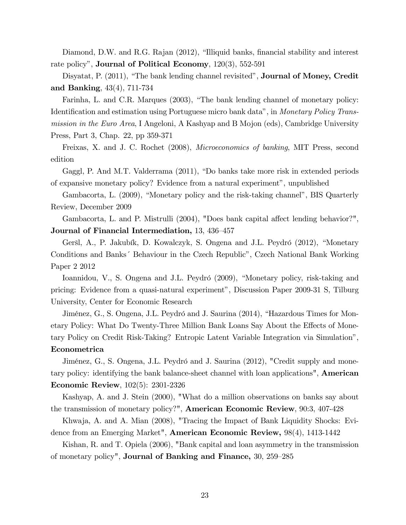Diamond, D.W. and R.G. Rajan  $(2012)$ , "Illiquid banks, financial stability and interest rate policy", **Journal of Political Economy**,  $120(3)$ ,  $552-591$ 

Disyatat, P. (2011), "The bank lending channel revisited", **Journal of Money, Credit** and Banking, 43(4), 711-734

Farinha, L. and C.R. Marques (2003), "The bank lending channel of monetary policy: Identification and estimation using Portuguese micro bank data", in Monetary Policy Transmission in the Euro Area, I Angeloni, A Kashyap and B Mojon (eds), Cambridge University Press, Part 3, Chap. 22, pp 359-371

Freixas, X. and J. C. Rochet (2008), Microeconomics of banking, MIT Press, second edition

Gaggl, P. And M.T. Valderrama (2011), "Do banks take more risk in extended periods of expansive monetary policy? Evidence from a natural experiment", unpublished

Gambacorta, L. (2009), "Monetary policy and the risk-taking channel", BIS Quarterly Review, December 2009

Gambacorta, L. and P. Mistrulli (2004), "Does bank capital affect lending behavior?", Journal of Financial Intermediation, 13, 436-457

Geršl, A., P. Jakubík, D. Kowalczyk, S. Ongena and J.L. Peydró (2012), "Monetary Conditions and Banks<sup>\*</sup> Behaviour in the Czech Republic<sup>3</sup>, Czech National Bank Working Paper 2 2012

Ioannidou, V., S. Ongena and J.L. Peydró (2009), "Monetary policy, risk-taking and pricing: Evidence from a quasi-natural experiment", Discussion Paper 2009-31 S, Tilburg University, Center for Economic Research

Jiménez, G., S. Ongena, J.L. Peydró and J. Saurina (2014), "Hazardous Times for Monetary Policy: What Do Twenty-Three Million Bank Loans Say About the Effects of Monetary Policy on Credit Risk-Taking? Entropic Latent Variable Integration via Simulationî, Econometrica

Jiménez, G., S. Ongena, J.L. Peydró and J. Saurina (2012), "Credit supply and monetary policy: identifying the bank balance-sheet channel with loan applications", American Economic Review, 102(5): 2301-2326

Kashyap, A. and J. Stein (2000), "What do a million observations on banks say about the transmission of monetary policy?", American Economic Review, 90:3, 407-428

Khwaja, A. and A. Mian (2008), "Tracing the Impact of Bank Liquidity Shocks: Evidence from an Emerging Market", American Economic Review, 98(4), 1413-1442

Kishan, R. and T. Opiela (2006), "Bank capital and loan asymmetry in the transmission of monetary policy", **Journal of Banking and Finance**,  $30, 259-285$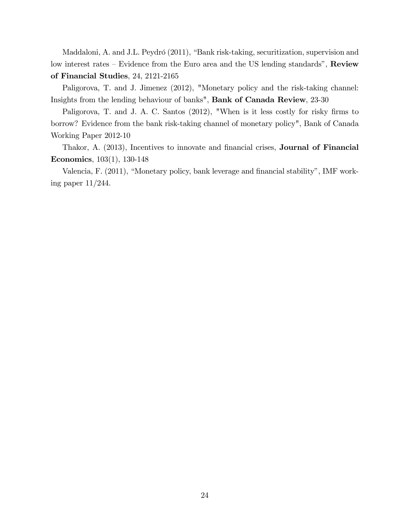Maddaloni, A. and J.L. Peydró (2011), "Bank risk-taking, securitization, supervision and low interest rates  $\overline{\phantom{a}}$ -Evidence from the Euro area and the US lending standards", Review of Financial Studies, 24, 2121-2165

Paligorova, T. and J. Jimenez (2012), "Monetary policy and the risk-taking channel: Insights from the lending behaviour of banks", Bank of Canada Review, 23-30

Paligorova, T. and J. A. C. Santos (2012), "When is it less costly for risky firms to borrow? Evidence from the bank risk-taking channel of monetary policy", Bank of Canada Working Paper 2012-10

Thakor, A. (2013), Incentives to innovate and financial crises, **Journal of Financial** Economics, 103(1), 130-148

Valencia, F. (2011), "Monetary policy, bank leverage and financial stability", IMF working paper 11/244.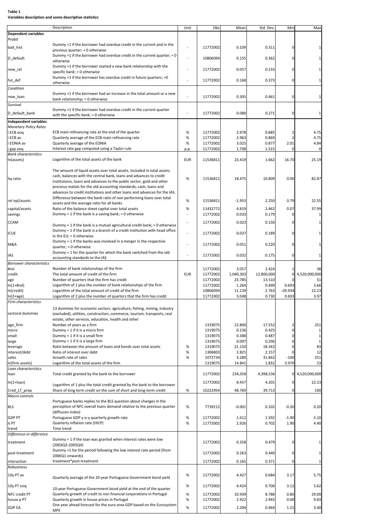#### **Table 1 Variables description and some descriptive statistics**

|                                          | Description                                                                                                                                | Unit       | Obs                  | Mean           | Std. Dev       | Min                 | Max             |
|------------------------------------------|--------------------------------------------------------------------------------------------------------------------------------------------|------------|----------------------|----------------|----------------|---------------------|-----------------|
| <b>Dependent variables</b>               |                                                                                                                                            |            |                      |                |                |                     |                 |
| Probit                                   |                                                                                                                                            |            |                      |                |                |                     |                 |
| bad_hist                                 | Dummy =1 if the borrower had overdue credit in the current and in the                                                                      |            | 11772002             | 0.109          | 0.311          | 0                   |                 |
|                                          | previous quarter; = 0 otherwise                                                                                                            |            |                      |                |                |                     |                 |
| D_default                                | Dummy =1 if the borrower had overdue credit in the current quarter; = $0$                                                                  | ÷,         | 10806094             | 0.155          | 0.362          | $\mathbf 0$         |                 |
|                                          | otherwise                                                                                                                                  |            |                      |                |                |                     |                 |
| new_rel                                  | Dummy =1 if the borrower started a new bank relationship with the                                                                          |            | 11772002             | 0.057          | 0.233          | 0                   |                 |
|                                          | specific bank; = 0 otherwise                                                                                                               |            |                      |                |                |                     |                 |
| fut_def                                  | Dummy =1 if the borrower has overdue credit in future quarters; =0                                                                         |            | 11772002             | 0.168          | 0.373          | $\mathbf 0$         | $\mathbf{1}$    |
|                                          | otherwise                                                                                                                                  |            |                      |                |                |                     |                 |
| Condition                                |                                                                                                                                            |            |                      |                |                |                     |                 |
| new_loan                                 | Dummy =1 if the borrower had an increase in the total amount or a new                                                                      |            | 11772002             | 0.305          | 0.461          | 0                   | 1               |
|                                          | bank relationship; = 0 otherwise                                                                                                           |            |                      |                |                |                     |                 |
| Survival                                 | Dummy =1 if the borrower had overdue credit in the current quarter                                                                         |            |                      |                |                |                     |                 |
| D_default_bank                           | with the specific bank; $= 0$ otherwise                                                                                                    |            | 11772002             | 0.080          | 0.271          | 0                   | $\mathbf 1$     |
|                                          |                                                                                                                                            |            |                      |                |                |                     |                 |
| Independent variables                    |                                                                                                                                            |            |                      |                |                |                     |                 |
| <b>Monetary Policy Rates</b>             |                                                                                                                                            | $\%$       |                      |                |                |                     |                 |
| i ECB eog<br>i ECB av                    | ECB main refinancing rate at the end of the quarter<br>Quarterly average of the ECB main refinancing rate                                  | $\%$       | 11772002<br>11772002 | 2.978<br>2.963 | 0.885<br>0.869 | 2<br>$\overline{2}$ | 4.75<br>4.75    |
| i EONIA av                               | Quarterly average of the EONIA                                                                                                             | $\%$       | 11772002             | 3.025          | 0.877          | 2.01                | 4.84            |
|                                          | Interest rate gap computed using a Taylor rule                                                                                             |            | 11772002             | 1.708          | 1.515          | $\Omega$            | 4               |
| i gap eoq<br><b>Bank characteristics</b> |                                                                                                                                            | p.p.       |                      |                |                |                     |                 |
| In(assets)                               | Logarithm of the total assets of the bank                                                                                                  | <b>EUR</b> | 11536811             | 23.419         | 1.662          | 16.70               | 25.19           |
|                                          |                                                                                                                                            |            |                      |                |                |                     |                 |
|                                          | The amount of liquid assets over total assets. Included in total assets:                                                                   |            |                      |                |                |                     |                 |
|                                          | cash, balances with the central bank, loans and advances to credit                                                                         |            |                      |                |                |                     |                 |
| liq ratio                                | institutions, loans and advances to the public sector, gold and other                                                                      | %          | 11536811             | 18.475         | 10.809         | 0.00                | 82.87           |
|                                          | precious metals for the old accounting standards; cash, loans and                                                                          |            |                      |                |                |                     |                 |
|                                          | advances to credit institutions and other loans and advances for the IAS.                                                                  |            |                      |                |                |                     |                 |
|                                          | Difference between the bank ratio of non performing loans over total                                                                       |            |                      |                |                |                     |                 |
| rel npl/assets                           | assets and the average ratio for all banks                                                                                                 | $\%$       | 11536811             | $-1.953$       | 2.250          | $-3.79$             | 22.55           |
| capital/assets                           | Ratio of the balance sheet capital over total assets                                                                                       | %          | 11432772             | 4.819          | 2.462          | 0.07                | 37.99           |
| savings                                  | Dummy = 1 if the bank is a saving bank; = 0 otherwise                                                                                      |            | 11772002             | 0.033          | 0.179          | $\Omega$            | 1               |
|                                          |                                                                                                                                            |            |                      |                |                |                     |                 |
| <b>CCAM</b>                              | Dummy = 1 if the bank is a mutual agricultural credit bank; = 0 otherwise                                                                  |            | 11772002             | 0.023          | 0.150          | 0                   | 1               |
|                                          | Dummy = 1 if the bank is a branch of a credit institution with head office                                                                 |            |                      |                |                |                     |                 |
| <b>ICUE</b>                              | in the $EU$ ; = 0 otherwise                                                                                                                |            | 11772002             | 0.037          | 0.189          | 0                   |                 |
|                                          | Dummy = $1$ if the banks was involved in a merger in the respective                                                                        |            |                      |                |                |                     |                 |
| M&A                                      | quarter; $= 0$ otherwise                                                                                                                   |            | 11772002             | 0.051          | 0.220          | 0                   | 1               |
|                                          | Dummy = 1 for the quarter for which the bank switched from the old                                                                         |            |                      |                |                |                     |                 |
| IAS                                      | accounting standards to the IAS                                                                                                            |            | 11772002             | 0.032          | 0.175          | 0                   | 1               |
| <b>Borrower characteristics</b>          |                                                                                                                                            |            |                      |                |                |                     |                 |
| #rel                                     | Number of bank relationships of the firm                                                                                                   |            | 11772002             | 3.057          | 2.424          |                     | 38              |
| credit                                   | The total amount of credit of the firm                                                                                                     | <b>EUR</b> | 11772002             | 1,040,303      | 12,800,000     | 0                   | 4,520,000,000   |
| age                                      | Number of quarters that the firm has credit                                                                                                |            | 11772002             | 23.785         | 13.510         |                     | 51              |
| $ln(1+Hrel)$                             | Logarithm of 1 plus the number of bank relationships of the firm                                                                           |            | 11772002             | 1.264          | 0.499          | 0.693               | 3.66            |
| In(credit)                               | Logarithm of the total amount of credit of the firm                                                                                        |            | 10806094             | 11.139         | 2.763          | $-29.934$           | 22.23           |
| $ln(2+age)$                              | Logarithm of 2 plus the number of quarters that the firm has credit                                                                        |            | 11772002             | 3.048          | 0.730          | 0.693               | 3.97            |
| Firm characteristics                     |                                                                                                                                            |            |                      |                |                |                     |                 |
|                                          | 13 dummies for economic sectors: agriculture, fishing, mining, industry                                                                    |            |                      |                |                |                     |                 |
| sectoral dummies                         | (excluded), utilities, construction, commerce, tourism, transports, real                                                                   |            |                      |                |                |                     |                 |
|                                          | estate, other services, education, health and other                                                                                        |            |                      |                |                |                     |                 |
| age_firm                                 | Number of years as a firm                                                                                                                  |            | 1319075              | 22.800         | 17.552         | 2                   | 251             |
| micro                                    | Dummy = $1$ if it is a micro firm                                                                                                          |            | 1319075              | 0.236          | 0.425          | $\mathbf 0$         | $\,1\,$         |
| small                                    | Dummy = $1$ if it is a small firm                                                                                                          |            | 1319075              | 0.388          | 0.487          | $\mathbf 0$         | $\,1\,$         |
| large                                    | Dummy = $1$ if it is a large firm                                                                                                          |            | 1319075              | 0.097          | 0.296          | $\Omega$            | $\mathbf 1$     |
| leverage                                 | Ratio between the amount of loans and bonds over total assets                                                                              | $\%$       | 1319075              | 21.150         | 18.342         | 0                   | 83              |
| interest/debt                            | Ratio of interest over debt                                                                                                                | $\%$       | 1306803              | 2.821          | 2.157          | 0                   | 12              |
| sales                                    | Growth rate of sales                                                                                                                       | $\%$       | 1072734              | 3.280          | 31.862         | $-100$              | 251             |
| In(firm assets)                          | Logarithm of the total assets of the firm                                                                                                  |            | 1319075              | 14.841         | 1.832          | 3.970               | 23              |
| Loan characteristics                     |                                                                                                                                            |            |                      |                |                |                     |                 |
| loan                                     | Total credit granted by the bank to the borrower                                                                                           |            | 11772002             | 234,358        | 4,398,536      |                     | 0 4,520,000,000 |
| $ln(1+loan)$                             |                                                                                                                                            |            | 11772002             | 8.457          | 4.201          | 0                   | 22.23           |
|                                          | Logarithm of 1 plus the total credit granted by the bank to the borrower                                                                   |            |                      |                |                |                     |                 |
| Cred_LT_prop                             | Share of long term credit on the sum of short and long-term credit                                                                         | %          | 10222954             | 48.769         | 39.713         | 0                   | 100             |
| Macro controls                           |                                                                                                                                            |            |                      |                |                |                     |                 |
|                                          | Portuguese banks replies to the BLS question about changes in the                                                                          |            |                      |                |                |                     |                 |
| <b>BLS</b>                               | perception of NFC overall loans demand relative to the previous quarter                                                                    | %          | 7739212              | $-0.001$       | 0.102          | $-0.20$             | 0.20            |
|                                          | (diffusion index)                                                                                                                          |            |                      |                |                |                     |                 |
| GDP PT                                   | Portuguese GDP y-o-y quarterly growth rate                                                                                                 | $\%$       | 11772002             | 1.612          | 1.592          | $-1.90$             | 5.10            |
| $\pi$ PT                                 | Quarterly inflation rate (HICP)                                                                                                            | $\%$       | 11772002             | 2.926          | 0.702          | 1.90                | 4.40            |
| trend                                    | Time trend                                                                                                                                 |            |                      |                |                |                     |                 |
| Difference-in-difference                 |                                                                                                                                            |            |                      |                |                |                     |                 |
| treatment                                | Dummy = 1 if the loan was granted when interest rates were low                                                                             |            | 11772002             | 0.358          | 0.479          | 0                   | 1               |
|                                          | (2003Q3-2005Q4)                                                                                                                            |            |                      |                |                |                     |                 |
| post-treatment                           | Dummy =1 for the period following the low interest rate period (from                                                                       |            | 11772002             | 0.263          | 0.440          | 0                   | 1               |
|                                          | 2006Q1 onwards)                                                                                                                            |            |                      |                |                |                     |                 |
| interaction                              | treatment*post-treatment                                                                                                                   |            | 11772002             | 0.165          | 0.371          | 0                   | $\mathbf 1$     |
| Robustness                               |                                                                                                                                            |            |                      |                |                |                     |                 |
| 10y PT av                                |                                                                                                                                            | %          | 11772002             | 4.427          | 0.684          | 3.17                | 5.75            |
|                                          | Quarterly average of the 10-year Portuguese Government bond yield                                                                          |            |                      |                |                |                     |                 |
| 10y PT eoq                               |                                                                                                                                            | %          | 11772002             | 4.424          | 0.700          | 3.12                | 5.62            |
| NFC credit PT                            | 10-year Portuguese Government bond yield at the end of the quarter<br>Quarterly growth of credit to non financial corporations in Portugal | %          | 11772002             | 10.939         | 8.788          | 0.80                | 29.00           |
|                                          | Quarterly growth in house prices in Portugal                                                                                               | $\%$       | 11772002             | 2.922          | 2.943          | 0.00                | 9.83            |
| house p PT                               | One year ahead forecast for the euro area GDP based on the Eurosystem                                                                      |            |                      |                |                |                     |                 |
| <b>GDP EA</b>                            | <b>MPE</b>                                                                                                                                 | $\%$       | 11772002             | 2.204          | 0.464          | 1.21                | 3.40            |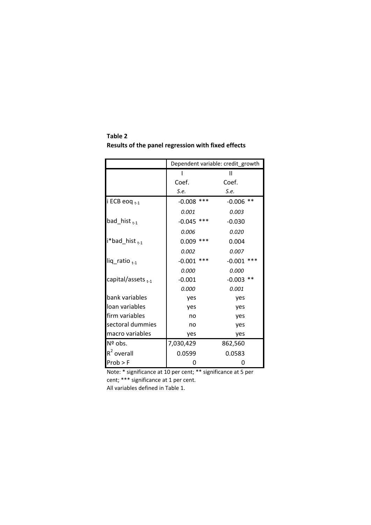**Results of the panel regression with fixed effects** I **II** Coef. Coef. *S.e. S.e.* Dependent variable: credit\_growth

**Table 2**

|                          |                 | ш                 |
|--------------------------|-----------------|-------------------|
|                          | Coef.           | Coef.             |
|                          | S.e.            | S.e.              |
| i ECB eoq <sub>t-1</sub> | ***<br>$-0.008$ | $***$<br>$-0.006$ |
|                          | 0.001           | 0.003             |
| bad_hist $_{t-1}$        | ***<br>$-0.045$ | $-0.030$          |
|                          | 0.006           | 0.020             |
| $i^*$ bad_hist $_{t-1}$  | ***<br>0.009    | 0.004             |
|                          | 0.002           | 0.007             |
| liq_ratio <sub>t-1</sub> | ***<br>$-0.001$ | ***<br>$-0.001$   |
|                          | 0.000           | 0.000             |
| capital/assets $_{t-1}$  | $-0.001$        | $***$<br>$-0.003$ |
|                          | <i>0.000</i>    | 0.001             |
| bank variables           | yes             | yes               |
| loan variables           | yes             | yes               |
| firm variables           | no              | yes               |
| sectoral dummies         | no              | yes               |
| macro variables          | yes             | yes               |
| Nº obs.                  | 7,030,429       | 862,560           |
| $R^2$ overall            | 0.0599          | 0.0583            |
| $Prob$ > F               | 0               | 0                 |

Note: \* significance at 10 per cent; \*\* significance at 5 per cent; \*\*\* significance at 1 per cent.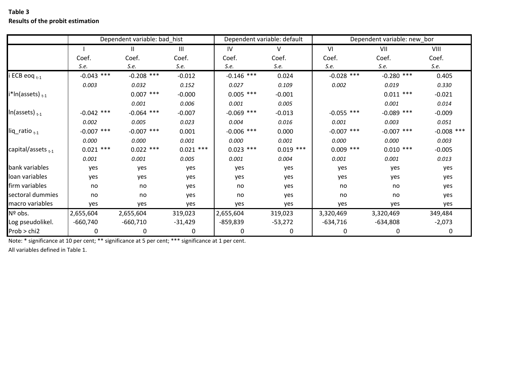|                         | Dependent variable: bad_hist |              |                | Dependent variable: default |             | Dependent variable: new_bor |              |              |
|-------------------------|------------------------------|--------------|----------------|-----------------------------|-------------|-----------------------------|--------------|--------------|
|                         |                              | Ш            | $\mathbf{III}$ | IV                          | V           | VI                          | VII          | VIII         |
|                         | Coef.                        | Coef.        | Coef.          | Coef.                       | Coef.       | Coef.                       | Coef.        | Coef.        |
|                         | S.e.                         | S.e.         | S.e.           | S.e.                        | S.e.        | S.e.                        | S.e.         | S.e.         |
| i ECB eoq $_{t-1}$      | $-0.043$ ***                 | $-0.208$ *** | $-0.012$       | $-0.146$ ***                | 0.024       | $-0.028$ ***                | $-0.280$ *** | 0.405        |
|                         | 0.003                        | 0.032        | 0.152          | 0.027                       | 0.109       | 0.002                       | 0.019        | 0.330        |
| $i^*$ In(assets) $t-1$  |                              | $0.007$ ***  | $-0.000$       | $0.005$ ***                 | $-0.001$    |                             | $0.011$ ***  | $-0.021$     |
|                         |                              | 0.001        | 0.006          | 0.001                       | 0.005       |                             | 0.001        | 0.014        |
| In(assets) $_{t-1}$     | $-0.042$ ***                 | $-0.064$ *** | $-0.007$       | ***<br>$-0.069$             | $-0.013$    | $-0.055$ ***                | $-0.089$ *** | $-0.009$     |
|                         | 0.002                        | 0.005        | 0.023          | 0.004                       | 0.016       | 0.001                       | 0.003        | 0.051        |
| liq_ratio $_{t-1}$      | $-0.007$ ***                 | $-0.007$ *** | 0.001          | $-0.006$ ***                | 0.000       | $-0.007$ ***                | $-0.007$ *** | $-0.008$ *** |
|                         | 0.000                        | 0.000        | 0.001          | 0.000                       | 0.001       | 0.000                       | 0.000        | 0.003        |
| capital/assets $_{t-1}$ | $0.021$ ***                  | $0.022$ ***  | $0.021$ ***    | $0.023$ ***                 | $0.019$ *** | $0.009$ ***                 | $0.010$ ***  | $-0.005$     |
|                         | 0.001                        | 0.001        | 0.005          | 0.001                       | 0.004       | 0.001                       | 0.001        | 0.013        |
| bank variables          | yes                          | yes          | yes            | yes                         | yes         | yes                         | yes          | yes          |
| loan variables          | yes                          | yes          | yes            | yes                         | yes         | yes                         | yes          | yes          |
| firm variables          | no                           | no           | yes            | no                          | yes         | no                          | no           | yes          |
| sectoral dummies        | no                           | no           | yes            | no                          | yes         | no                          | no           | yes          |
| macro variables         | yes                          | yes          | yes            | yes                         | yes         | yes                         | yes          | yes          |
| Nº obs.                 | 2,655,604                    | 2,655,604    | 319,023        | 2,655,604                   | 319,023     | 3,320,469                   | 3,320,469    | 349,484      |
| Log pseudolikel.        | $-660,740$                   | $-660,710$   | $-31,429$      | $-859,839$                  | $-53,272$   | $-634,716$                  | $-634,808$   | $-2,073$     |
| Prob > chi2             | 0                            | 0            | 0              |                             | 0           | 0                           | 0            | 0            |

### **Table 3 Results of the probit estimation**

Note: \* significance at 10 per cent; \*\* significance at 5 per cent; \*\*\* significance at 1 per cent.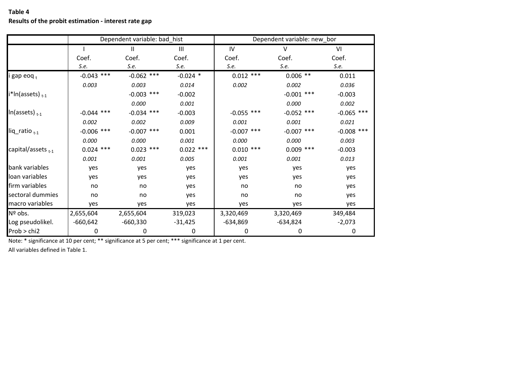**Table 4**

### **Results of the probit estimation ‐ interest rate gap**

|                             |              | Dependent variable: bad_hist |             | Dependent variable: new_bor |                 |              |  |
|-----------------------------|--------------|------------------------------|-------------|-----------------------------|-----------------|--------------|--|
|                             |              | $\mathbf{I}$                 | Ш           | IV                          | $\vee$          | VI           |  |
|                             | Coef.        | Coef.                        | Coef.       | Coef.                       | Coef.           | Coef.        |  |
|                             | S.e.         | S.e.                         | S.e.        | S.e.                        | S.e.            | S.e.         |  |
| i gap eoq <sub>t</sub>      | $-0.043$ *** | $-0.062$ ***                 | $-0.024$ *  | $0.012$ ***                 | $0.006$ **      | 0.011        |  |
|                             | 0.003        | 0.003                        | 0.014       | 0.002                       | 0.002           | 0.036        |  |
| i*In(assets) <sub>t-1</sub> |              | $-0.003$ ***                 | $-0.002$    |                             | ***<br>$-0.001$ | $-0.003$     |  |
|                             |              | 0.000                        | 0.001       |                             | 0.000           | 0.002        |  |
| $ln(a$ ssets $)_{t-1}$      | $-0.044$ *** | $-0.034$ ***                 | $-0.003$    | $-0.055$ ***                | $-0.052$ ***    | $-0.065$ *** |  |
|                             | 0.002        | 0.002                        | 0.009       | 0.001                       | 0.001           | 0.021        |  |
| $liq$ _ratio $_{t-1}$       | $-0.006$ *** | $-0.007$ ***                 | 0.001       | $-0.007$ ***                | $-0.007$ ***    | $-0.008$ *** |  |
|                             | 0.000        | 0.000                        | 0.001       | 0.000                       | 0.000           | 0.003        |  |
| capital/assets $_{t-1}$     | $0.024$ ***  | $0.023$ ***                  | $0.022$ *** | $0.010$ ***                 | $0.009$ ***     | $-0.003$     |  |
|                             | 0.001        | 0.001                        | 0.005       | 0.001                       | 0.001           | 0.013        |  |
| bank variables              | yes          | yes                          | yes         | yes                         | yes             | yes          |  |
| loan variables              | yes          | yes                          | yes         | yes                         | yes             | yes          |  |
| firm variables              | no           | no                           | yes         | no                          | no              | yes          |  |
| sectoral dummies            | no           | no                           | yes         | no                          | no              | yes          |  |
| macro variables             | yes          | yes                          | yes         | yes                         | yes             | yes          |  |
| Nº obs.                     | 2,655,604    | 2,655,604                    | 319,023     | 3,320,469                   | 3,320,469       | 349,484      |  |
| Log pseudolikel.            | $-660,642$   | $-660,330$                   | $-31,425$   | $-634,869$                  | $-634,824$      | $-2,073$     |  |
| Prob > chi2                 | 0            | 0                            | 0           | 0                           | 0               | 0            |  |

Note: \* significance at 10 per cent; \*\* significance at 5 per cent; \*\*\* significance at 1 per cent.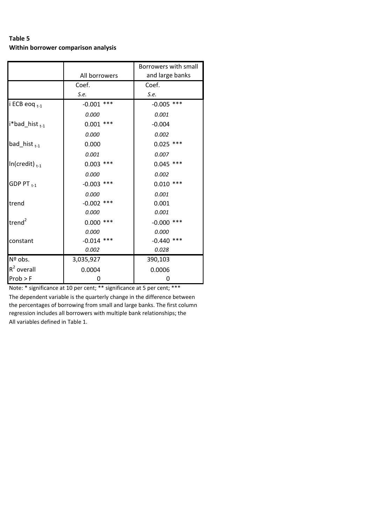### **Table 5 Within borrower comparison analysis**

|                           |                 | Borrowers with small |
|---------------------------|-----------------|----------------------|
|                           | All borrowers   | and large banks      |
|                           | Coef.           | Coef.                |
|                           | S.e.            | S.e.                 |
| i ECB eoq t-1             | ***<br>-0.001   | $-0.005$ ***         |
|                           | 0.000           | 0.001                |
| i*bad_hist <sub>t-1</sub> | ***<br>0.001    | $-0.004$             |
|                           | 0.000           | 0.002                |
| bad_hist $_{t-1}$         | 0.000           | $0.025$ ***          |
|                           | 0.001           | 0.007                |
| $In(credit)_{t-1}$        | $0.003$ ***     | $0.045$ ***          |
|                           | 0.000           | 0.002                |
| GDP PT $_{t-1}$           | ***<br>$-0.003$ | ***<br>0.010         |
|                           | 0.000           | 0.001                |
| trend                     | $-0.002$ ***    | 0.001                |
|                           | 0.000           | 0.001                |
| trend <sup>2</sup>        | ***<br>0.000    | ***<br>$-0.000$      |
|                           | 0.000           | 0.000                |
| constant                  | $-0.014$ ***    | ***<br>$-0.440$      |
|                           | 0.002           | 0.028                |
| Nº obs.                   | 3,035,927       | 390,103              |
| $R^2$ overall             | 0.0004          | 0.0006               |
| Prob > F                  | 0               | 0                    |

Note: \* significance at 10 per cent; \*\* significance at 5 per cent; \*\*\*

All variables defined in Table 1. The dependent variable is the quarterly change in the difference between the percentages of borrowing from small and large banks. The first column regression includes all borrowers with multiple bank relationships; the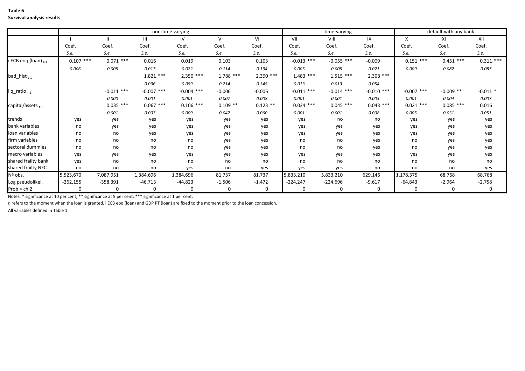#### **Table 6 Survival analysis results**

|                                 | non-time varying |              |                |              |              | time-varying |              |              | default with any bank |              |             |              |
|---------------------------------|------------------|--------------|----------------|--------------|--------------|--------------|--------------|--------------|-----------------------|--------------|-------------|--------------|
|                                 |                  |              | $\mathsf{III}$ | IV           | $\mathsf{V}$ | VI           | VII          | VIII         | IX                    | X            | XI          | XII          |
|                                 | Coef.            | Coef.        | Coef           | Coef.        | Coef.        | Coef.        | Coef.        | Coef.        | Coef.                 | Coef.        | Coef.       | Coef.        |
|                                 | S.e.             | S.e.         | S.e.           | S.e.         | S.e.         | S.e.         | S.e.         | S.e.         | S.e.                  | S.e.         | S.e.        | S.e.         |
| i ECB eoq (loan) <sub>t-1</sub> | $0.107$ ***      | $0.071$ ***  | 0.016          | 0.019        | 0.103        | 0.103        | $-0.013$ *** | $-0.055$ *** | $-0.009$              | $0.151$ ***  | $0.451$ *** | $0.311***$   |
|                                 | 0.006            | 0.005        | 0.017          | 0.022        | 0.114        | 0.134        | 0.005        | 0.005        | 0.021                 | 0.009        | 0.082       | 0.087        |
| bad_hist $_{t-1}$               |                  |              | $1.821$ ***    | $2.350$ ***  | $1.788$ ***  | $2.390$ ***  | $1.483$ ***  | $1.515***$   | $2.308***$            |              |             |              |
|                                 |                  |              | 0.036          | 0.059        | 0.214        | 0.345        | 0.013        | 0.013        | 0.054                 |              |             |              |
| liq_ratio <sub>t-1</sub>        |                  | $-0.011$ *** | $-0.007$ ***   | $-0.004$ *** | $-0.006$     | $-0.006$     | $-0.011$ *** | $-0.014$ *** | $-0.010$ ***          | $-0.007$ *** | $-0.009$ ** | $-0.011$ *   |
|                                 |                  | 0.000        | 0.001          | 0.001        | 0.007        | 0.008        | 0.001        | 0.001        | 0.003                 | 0.001        | 0.004       | 0.007        |
| capital/assets $_{t-1}$         |                  | $0.035$ ***  | $0.067$ ***    | $0.106$ ***  | $0.109$ **   | $0.123$ **   | $0.034$ ***  | $0.045$ ***  | $0.043$ ***           | $0.021$ ***  | $0.085$ *** | 0.016        |
|                                 |                  | 0.001        | 0.007          | 0.009        | 0.047        | 0.060        | 0.001        | 0.001        | 0.008                 | 0.005        | 0.031       | 0.051        |
| trends                          | yes              | yes          | yes            | yes          | yes          | yes          | yes          | no           | no                    | yes          | yes         | yes          |
| bank variables                  | no               | yes          | yes            | yes          | yes          | yes          | yes          | yes          | yes                   | yes          | yes         | yes          |
| loan variables                  | no               | no           | yes            | yes          | yes          | yes          | yes          | yes          | yes                   | yes          | yes         | yes          |
| firm variables                  | no               | no           | no             | no           | yes          | yes          | no           | no           | yes                   | no           | yes         | yes          |
| sectoral dummies                | no               | no           | no             | no           | yes          | yes          | no           | no           | yes                   | no           | yes         | yes          |
| macro variables                 | yes              | yes          | yes            | yes          | yes          | yes          | yes          | yes          | yes                   | yes          | yes         | yes          |
| shared frailty bank             | yes              | no           | no             | no           | no           | no           | no           | no           | no                    | no           | no          | no           |
| shared frailty NFC              | no               | no           | no             | yes          | no           | yes          | yes          | yes          | no                    | no           | no          | yes          |
| Nº obs.                         | 5,523,670        | 7,087,951    | 1,384,696      | 1,384,696    | 81,737       | 81,737       | 5,833,210    | 5,833,210    | 629,146               | 1,178,375    | 68,768      | 68,768       |
| Log pseudolikel.                | $-262,155$       | $-358,391$   | $-46,713$      | $-44,823$    | $-1,506$     | $-1,472$     | $-224,247$   | $-224,696$   | $-9,617$              | $-64,843$    | $-2,964$    | $-2,758$     |
| Prob > chi2                     | $\Omega$         | $\mathbf 0$  | 0              |              | $\Omega$     | 0            | $\mathbf{0}$ | 0            | $\Omega$              | $\mathbf 0$  | $\mathbf 0$ | $\mathbf{0}$ |

Notes: \* significance at 10 per cent; \*\* significance at 5 per cent; \*\*\* significance at 1 per cent.

*t* refers to the moment when the loan is granted. i ECB eoq (loan) and GDP PT (loan) are fixed to the moment prior to the loan concession.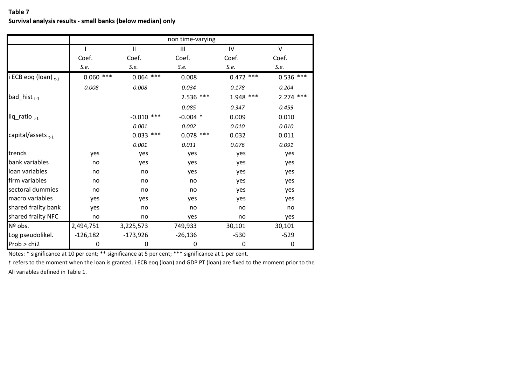|                                 |             |              | non time-varying |             |             |
|---------------------------------|-------------|--------------|------------------|-------------|-------------|
|                                 |             | $\mathbf{I}$ | $\mathbf{III}$   | IV          | $\vee$      |
|                                 | Coef.       | Coef.        | Coef.            | Coef.       | Coef.       |
|                                 | S.e.        | S.e.         | S.e.             | S.e.        | S.e.        |
| i ECB eoq (loan) <sub>t-1</sub> | $0.060$ *** | $0.064$ ***  | 0.008            | $0.472$ *** | $0.536$ *** |
|                                 | 0.008       | 0.008        | 0.034            | 0.178       | 0.204       |
| bad_hist $_{t-1}$               |             |              | $2.536$ ***      | 1.948 ***   | $2.274$ *** |
|                                 |             |              | 0.085            | 0.347       | 0.459       |
| $liq$ _ratio $_{t-1}$           |             | $-0.010$ *** | $-0.004$ *       | 0.009       | 0.010       |
|                                 |             | 0.001        | 0.002            | 0.010       | 0.010       |
| capital/assets <sub>t-1</sub>   |             | $0.033$ ***  | $0.078$ ***      | 0.032       | 0.011       |
|                                 |             | 0.001        | 0.011            | 0.076       | 0.091       |
| trends                          | yes         | yes          | yes              | yes         | yes         |
| bank variables                  | no          | yes          | yes              | yes         | yes         |
| loan variables                  | no          | no           | yes              | yes         | yes         |
| firm variables                  | no          | no           | no               | yes         | yes         |
| sectoral dummies                | no          | no           | no               | yes         | yes         |
| macro variables                 | yes         | yes          | yes              | yes         | yes         |
| shared frailty bank             | yes         | no           | no               | no          | no          |
| shared frailty NFC              | no          | no           | yes              | no          | yes         |
| Nº obs.                         | 2,494,751   | 3,225,573    | 749,933          | 30,101      | 30,101      |
| Log pseudolikel.                | $-126,182$  | $-173,926$   | $-26,136$        | $-530$      | $-529$      |
| Prob > chi2                     | 0           | 0            | 0                | 0           | 0           |

Notes: \* significance at 10 per cent; \*\* significance at 5 per cent; \*\*\* significance at 1 per cent.

*t* refers to the moment when the loan is granted. i ECB eoq (loan) and GDP PT (loan) are fixed to the moment prior to the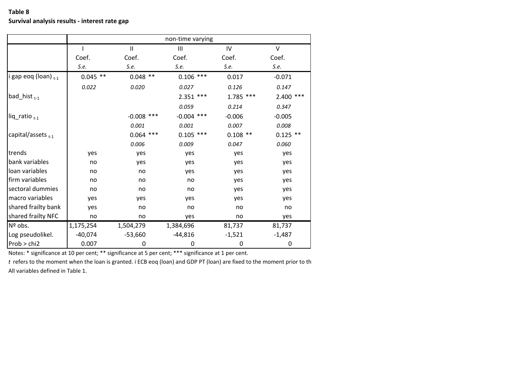|                           | non-time varying |                   |              |             |            |  |  |
|---------------------------|------------------|-------------------|--------------|-------------|------------|--|--|
|                           |                  | Ш                 | III          | IV          | $\vee$     |  |  |
|                           | Coef.            | Coef.             | Coef.        | Coef.       | Coef.      |  |  |
|                           | S.e.             | S.e.              | S.e.         | S.e.        | S.e.       |  |  |
| i gap eoq (loan) $_{t-1}$ | $0.045$ **       | $0.048$ **        | $0.106$ ***  | 0.017       | $-0.071$   |  |  |
|                           | 0.022            | 0.020             | 0.027        | 0.126       | 0.147      |  |  |
| bad_hist $_{t-1}$         |                  |                   | $2.351$ ***  | $1.785$ *** | 2.400 ***  |  |  |
|                           |                  |                   | 0.059        | 0.214       | 0.347      |  |  |
| $liq$ _ratio $_{t-1}$     |                  | $***$<br>$-0.008$ | $-0.004$ *** | $-0.006$    | $-0.005$   |  |  |
|                           |                  | 0.001             | 0.001        | 0.007       | 0.008      |  |  |
| capital/assets $_{t-1}$   |                  | $0.064$ ***       | $0.105$ ***  | $0.108$ **  | $0.125$ ** |  |  |
|                           |                  | 0.006             | 0.009        | 0.047       | 0.060      |  |  |
| trends                    | yes              | yes               | yes          | yes         | yes        |  |  |
| bank variables            | no               | yes               | yes          | yes         | yes        |  |  |
| loan variables            | no               | no                | yes          | yes         | yes        |  |  |
| firm variables            | no               | no                | no           | yes         | yes        |  |  |
| sectoral dummies          | no               | no                | no           | yes         | yes        |  |  |
| macro variables           | yes              | yes               | yes          | yes         | yes        |  |  |
| shared frailty bank       | yes              | no                | no           | no          | no         |  |  |
| shared frailty NFC        | no               | no                | yes          | no          | yes        |  |  |
| Nº obs.                   | 1,175,254        | 1,504,279         | 1,384,696    | 81,737      | 81,737     |  |  |
| Log pseudolikel.          | $-40,074$        | $-53,660$         | $-44,816$    | $-1,521$    | $-1,487$   |  |  |
| Prob > chi2               | 0.007            | 0                 | 0            | 0           | 0          |  |  |

Notes: \* significance at 10 per cent; \*\* significance at 5 per cent; \*\*\* significance at 1 per cent.

*t* refers to the moment when the loan is granted. i ECB eoq (loan) and GDP PT (loan) are fixed to the moment prior to th All variables defined in Table 1.